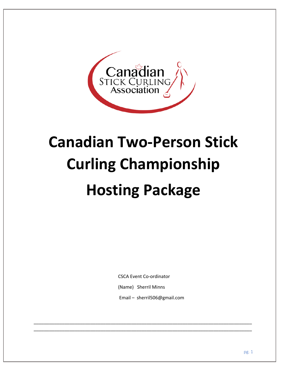

# **Canadian Two-Person Stick Curling Championship Hosting Package**

CSCA Event Co-ordinator

(Name) Sherril Minns

\_\_\_\_\_\_\_\_\_\_\_\_\_\_\_\_\_\_\_\_\_\_\_\_\_\_\_\_\_\_\_\_\_\_\_\_\_\_\_\_\_\_\_\_\_\_\_\_\_\_\_\_\_\_\_\_\_\_\_\_\_\_\_\_\_\_\_\_\_\_\_\_\_\_\_\_\_\_\_\_\_\_\_\_\_ \_\_\_\_\_\_\_\_\_\_\_\_\_\_\_\_\_\_\_\_\_\_\_\_\_\_\_\_\_\_\_\_\_\_\_\_\_\_\_\_\_\_\_\_\_\_\_\_\_\_\_\_\_\_\_\_\_\_\_\_\_\_\_\_\_\_\_\_\_\_\_\_\_\_\_\_\_\_\_\_\_\_\_\_\_

Email – sherril506@gmail.com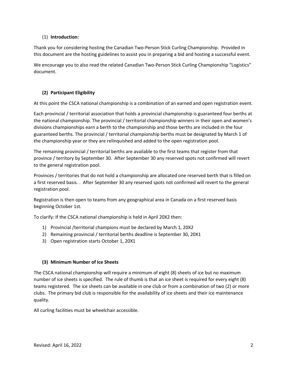# (1) **Introduction:**

Thank you for considering hosting the Canadian Two-Person Stick Curling Championship. Provided in this document are the hosting guidelines to assist you in preparing a bid and hosting a successful event.

We encourage you to also read the related Canadian Two-Person Stick Curling Championship "Logistics" document.

# **(2) Participant Eligibility**

At this point the CSCA national championship is a combination of an earned and open registration event.

Each provincial / territorial association that holds a provincial championship is guaranteed four berths at the national championship. The provincial / territorial championship winners in their open and women's divisions championships earn a berth to the championship and those berths are included in the four guaranteed berths. The provincial / territorial championship berths must be designated by March 1 of the championship year or they are relinquished and added to the open registration pool.

The remaining provincial / territorial berths are available to the first teams that register from that province / territory by September 30. After September 30 any reserved spots not confirmed will revert to the general registration pool.

Provinces / territories that do not hold a championship are allocated one reserved berth that is filled on a first reserved basis. . After September 30 any reserved spots not confirmed will revert to the general registration pool.

Registration is then open to teams from any geographical area in Canada on a first reserved basis beginning October 1st.

To clarify: If the CSCA national championship is held in April 20X2 then:

- 1) Provincial /territorial champions must be declared by March 1, 20X2
- 2) Remaining provincial / territorial berths deadline is September 30, 20X1
- 3) Open registration starts October 1, 20X1

#### **(3) Minimum Number of Ice Sheets**

The CSCA national championship will require a minimum of eight (8) sheets of ice but no maximum number of ice sheets is specified. The rule of thumb is that an ice sheet is required for every eight (8) teams registered. The ice sheets can be available in one club or from a combination of two (2) or more clubs. The primary bid club is responsible for the availability of ice sheets and their ice maintenance quality.

All curling facilities must be wheelchair accessible.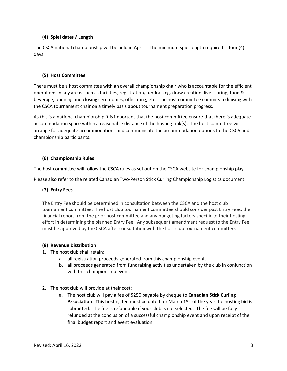#### **(4) Spiel dates / Length**

The CSCA national championship will be held in April. The minimum spiel length required is four (4) days.

#### **(5) Host Committee**

There must be a host committee with an overall championship chair who is accountable for the efficient operations in key areas such as facilities, registration, fundraising, draw creation, live scoring, food & beverage, opening and closing ceremonies, officiating, etc. The host committee commits to liaising with the CSCA tournament chair on a timely basis about tournament preparation progress.

As this is a national championship it is important that the host committee ensure that there is adequate accommodation space within a reasonable distance of the hosting rink(s). The host committee will arrange for adequate accommodations and communicate the accommodation options to the CSCA and championship participants.

#### **(6) Championship Rules**

The host committee will follow the CSCA rules as set out on the CSCA website for championship play.

Please also refer to the related Canadian Two-Person Stick Curling Championship Logistics document

# **(7) Entry Fees**

The Entry Fee should be determined in consultation between the CSCA and the host club tournament committee. The host club tournament committee should consider past Entry Fees, the financial report from the prior host committee and any budgeting factors specific to their hosting effort in determining the planned Entry Fee. Any subsequent amendment request to the Entry Fee must be approved by the CSCA after consultation with the host club tournament committee.

#### **(8) Revenue Distribution**

- 1. The host club shall retain:
	- a. all registration proceeds generated from this championship event.
	- b. all proceeds generated from fundraising activities undertaken by the club in conjunction with this championship event.
- 2. The host club will provide at their cost:
	- a. The host club will pay a fee of \$250 payable by cheque to **Canadian Stick Curling**  Association. This hosting fee must be dated for March 15<sup>th</sup> of the year the hosting bid is submitted. The fee is refundable if your club is not selected. The fee will be fully refunded at the conclusion of a successful championship event and upon receipt of the final budget report and event evaluation.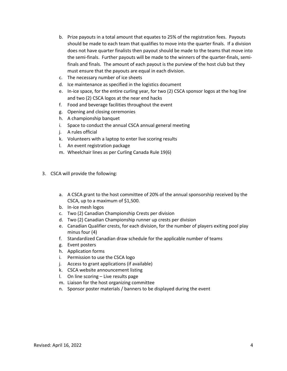- b. Prize payouts in a total amount that equates to 25% of the registration fees. Payouts should be made to each team that qualifies to move into the quarter finals. If a division does not have quarter finalists then payout should be made to the teams that move into the semi-finals. Further payouts will be made to the winners of the quarter-finals, semifinals and finals. The amount of each payout is the purview of the host club but they must ensure that the payouts are equal in each division.
- c. The necessary number of ice sheets
- d. Ice maintenance as specified in the logistics document
- e. In-ice space, for the entire curling year, for two (2) CSCA sponsor logos at the hog line and two (2) CSCA logos at the near end hacks
- f. Food and beverage facilities throughout the event
- g. Opening and closing ceremonies
- h. A championship banquet
- i. Space to conduct the annual CSCA annual general meeting
- j. A rules official
- k. Volunteers with a laptop to enter live scoring results
- l. An event registration package
- m. Wheelchair lines as per Curling Canada Rule 19(6)
- 3. CSCA will provide the following:
	- a. A CSCA grant to the host committee of 20% of the annual sponsorship received by the CSCA, up to a maximum of \$1,500.
	- b. In-ice mesh logos
	- c. Two (2) Canadian Championship Crests per division
	- d. Two (2) Canadian Championship runner up crests per division
	- e. Canadian Qualifier crests, for each division, for the number of players exiting pool play minus four (4)
	- f. Standardized Canadian draw schedule for the applicable number of teams
	- g. Event posters
	- h. Application forms
	- i. Permission to use the CSCA logo
	- j. Access to grant applications (if available)
	- k. CSCA website announcement listing
	- l. On line scoring Live results page
	- m. Liaison for the host organizing committee
	- n. Sponsor poster materials / banners to be displayed during the event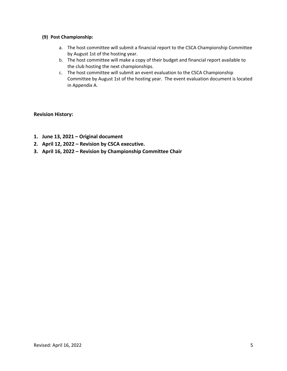#### **(9) Post Championship:**

- a. The host committee will submit a financial report to the CSCA Championship Committee by August 1st of the hosting year.
- b. The host committee will make a copy of their budget and financial report available to the club hosting the next championships.
- c. The host committee will submit an event evaluation to the CSCA Championship Committee by August 1st of the hosting year. The event evaluation document is located in Appendix A.

# **Revision History:**

- **1. June 13, 2021 – Original document**
- **2. April 12, 2022 – Revision by CSCA executive.**
- **3. April 16, 2022 – Revision by Championship Committee Chair**